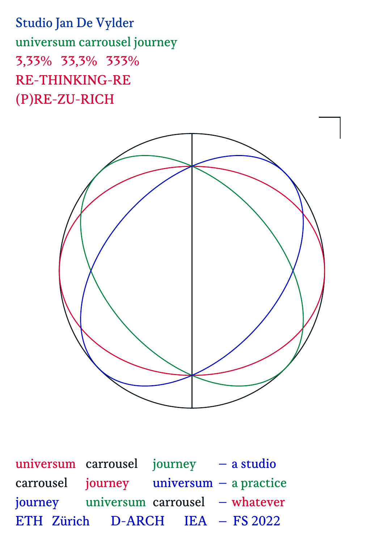Studio Jan De Vylder universum carrousel journey 3,33% 33,3% 333% RE-THINKING-RE (P)RE-ZU-RICH



universum carrousel journey – a studio carrousel journey universum – a practice journey universum carrousel – whatever ETH Zürich D-ARCH IEA – FS 2022